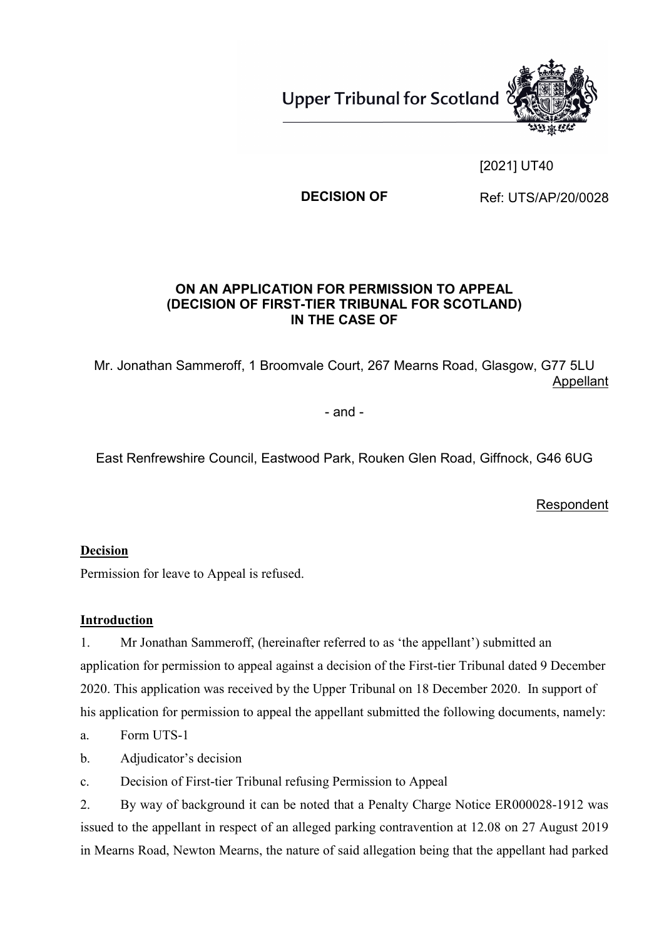

### [2021] UT40

**DECISION OF Ref: UTS/AP/20/0028** 

#### **ON AN APPLICATION FOR PERMISSION TO APPEAL (DECISION OF FIRST-TIER TRIBUNAL FOR SCOTLAND) IN THE CASE OF**

Mr. Jonathan Sammeroff, 1 Broomvale Court, 267 Mearns Road, Glasgow, G77 5LU Appellant

- and -

East Renfrewshire Council, Eastwood Park, Rouken Glen Road, Giffnock, G46 6UG

**Respondent** 

#### **Decision**

Permission for leave to Appeal is refused.

#### **Introduction**

1. Mr Jonathan Sammeroff, (hereinafter referred to as 'the appellant') submitted an application for permission to appeal against a decision of the First-tier Tribunal dated 9 December 2020. This application was received by the Upper Tribunal on 18 December 2020. In support of his application for permission to appeal the appellant submitted the following documents, namely:

- a. Form UTS-1
- b. Adjudicator's decision
- c. Decision of First-tier Tribunal refusing Permission to Appeal

2. By way of background it can be noted that a Penalty Charge Notice ER000028-1912 was issued to the appellant in respect of an alleged parking contravention at 12.08 on 27 August 2019 in Mearns Road, Newton Mearns, the nature of said allegation being that the appellant had parked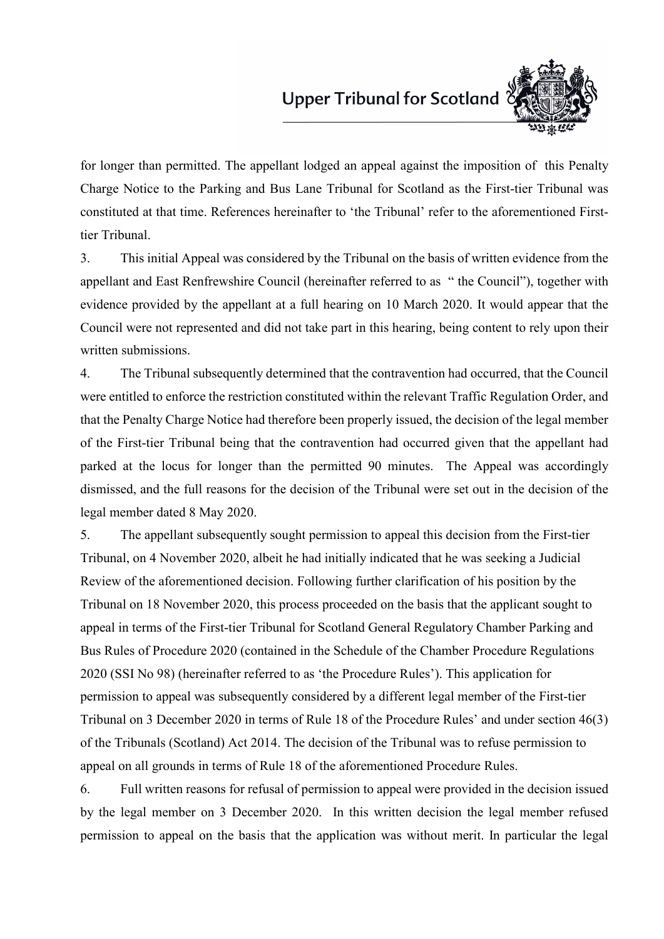### Upper Tribunal for Scotland<sup>?</sup>



for longer than permitted. The appellant lodged an appeal against the imposition of this Penalty Charge Notice to the Parking and Bus Lane Tribunal for Scotland as the First-tier Tribunal was constituted at that time. References hereinafter to 'the Tribunal' refer to the aforementioned Firsttier Tribunal.

3. This initial Appeal was considered by the Tribunal on the basis of written evidence from the appellant and East Renfrewshire Council (hereinafter referred to as " the Council"), together with evidence provided by the appellant at a full hearing on 10 March 2020. It would appear that the Council were not represented and did not take part in this hearing, being content to rely upon their written submissions.

4. The Tribunal subsequently determined that the contravention had occurred, that the Council were entitled to enforce the restriction constituted within the relevant Traffic Regulation Order, and that the Penalty Charge Notice had therefore been properly issued, the decision of the legal member of the First-tier Tribunal being that the contravention had occurred given that the appellant had parked at the locus for longer than the permitted 90 minutes. The Appeal was accordingly dismissed, and the full reasons for the decision of the Tribunal were set out in the decision of the legal member dated 8 May 2020.

5. The appellant subsequently sought permission to appeal this decision from the First-tier Tribunal, on 4 November 2020, albeit he had initially indicated that he was seeking a Judicial Review of the aforementioned decision. Following further clarification of his position by the Tribunal on 18 November 2020, this process proceeded on the basis that the applicant sought to appeal in terms of the First-tier Tribunal for Scotland General Regulatory Chamber Parking and Bus Rules of Procedure 2020 (contained in the Schedule of the Chamber Procedure Regulations 2020 (SSI No 98) (hereinafter referred to as 'the Procedure Rules'). This application for permission to appeal was subsequently considered by a different legal member of the First-tier Tribunal on 3 December 2020 in terms of Rule 18 of the Procedure Rules' and under section 46(3) of the Tribunals (Scotland) Act 2014. The decision of the Tribunal was to refuse permission to appeal on all grounds in terms of Rule 18 of the aforementioned Procedure Rules.

6. Full written reasons for refusal of permission to appeal were provided in the decision issued by the legal member on 3 December 2020. In this written decision the legal member refused permission to appeal on the basis that the application was without merit. In particular the legal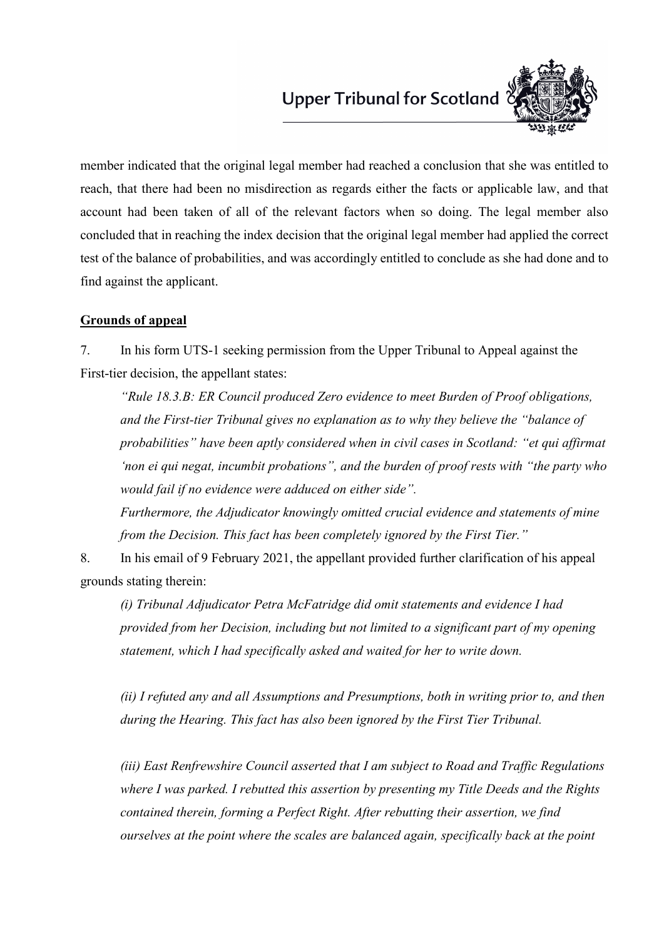

member indicated that the original legal member had reached a conclusion that she was entitled to reach, that there had been no misdirection as regards either the facts or applicable law, and that account had been taken of all of the relevant factors when so doing. The legal member also concluded that in reaching the index decision that the original legal member had applied the correct test of the balance of probabilities, and was accordingly entitled to conclude as she had done and to find against the applicant.

#### **Grounds of appeal**

7. In his form UTS-1 seeking permission from the Upper Tribunal to Appeal against the First-tier decision, the appellant states:

*"Rule 18.3.B: ER Council produced Zero evidence to meet Burden of Proof obligations, and the First-tier Tribunal gives no explanation as to why they believe the "balance of probabilities" have been aptly considered when in civil cases in Scotland: "et qui affirmat 'non ei qui negat, incumbit probations", and the burden of proof rests with "the party who would fail if no evidence were adduced on either side".*

*Furthermore, the Adjudicator knowingly omitted crucial evidence and statements of mine from the Decision. This fact has been completely ignored by the First Tier."*

8. In his email of 9 February 2021, the appellant provided further clarification of his appeal grounds stating therein:

*(i) Tribunal Adjudicator Petra McFatridge did omit statements and evidence I had provided from her Decision, including but not limited to a significant part of my opening statement, which I had specifically asked and waited for her to write down.* 

*(ii) I refuted any and all Assumptions and Presumptions, both in writing prior to, and then during the Hearing. This fact has also been ignored by the First Tier Tribunal.* 

*(iii) East Renfrewshire Council asserted that I am subject to Road and Traffic Regulations where I was parked. I rebutted this assertion by presenting my Title Deeds and the Rights contained therein, forming a Perfect Right. After rebutting their assertion, we find ourselves at the point where the scales are balanced again, specifically back at the point*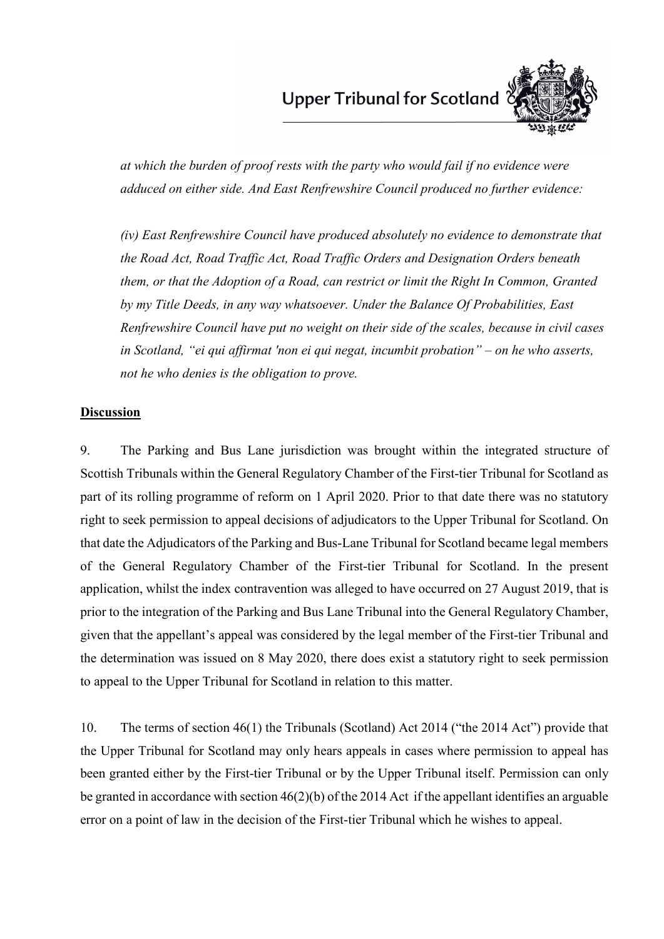

*at which the burden of proof rests with the party who would fail if no evidence were adduced on either side. And East Renfrewshire Council produced no further evidence:* 

*(iv) East Renfrewshire Council have produced absolutely no evidence to demonstrate that the Road Act, Road Traffic Act, Road Traffic Orders and Designation Orders beneath them, or that the Adoption of a Road, can restrict or limit the Right In Common, Granted by my Title Deeds, in any way whatsoever. Under the Balance Of Probabilities, East Renfrewshire Council have put no weight on their side of the scales, because in civil cases in Scotland, "ei qui affirmat 'non ei qui negat, incumbit probation" – on he who asserts, not he who denies is the obligation to prove.*

#### **Discussion**

9. The Parking and Bus Lane jurisdiction was brought within the integrated structure of Scottish Tribunals within the General Regulatory Chamber of the First-tier Tribunal for Scotland as part of its rolling programme of reform on 1 April 2020. Prior to that date there was no statutory right to seek permission to appeal decisions of adjudicators to the Upper Tribunal for Scotland. On that date the Adjudicators of the Parking and Bus-Lane Tribunal for Scotland became legal members of the General Regulatory Chamber of the First-tier Tribunal for Scotland. In the present application, whilst the index contravention was alleged to have occurred on 27 August 2019, that is prior to the integration of the Parking and Bus Lane Tribunal into the General Regulatory Chamber, given that the appellant's appeal was considered by the legal member of the First-tier Tribunal and the determination was issued on 8 May 2020, there does exist a statutory right to seek permission to appeal to the Upper Tribunal for Scotland in relation to this matter.

10. The terms of section 46(1) the Tribunals (Scotland) Act 2014 ("the 2014 Act") provide that the Upper Tribunal for Scotland may only hears appeals in cases where permission to appeal has been granted either by the First-tier Tribunal or by the Upper Tribunal itself. Permission can only be granted in accordance with section 46(2)(b) of the 2014 Act if the appellant identifies an arguable error on a point of law in the decision of the First-tier Tribunal which he wishes to appeal.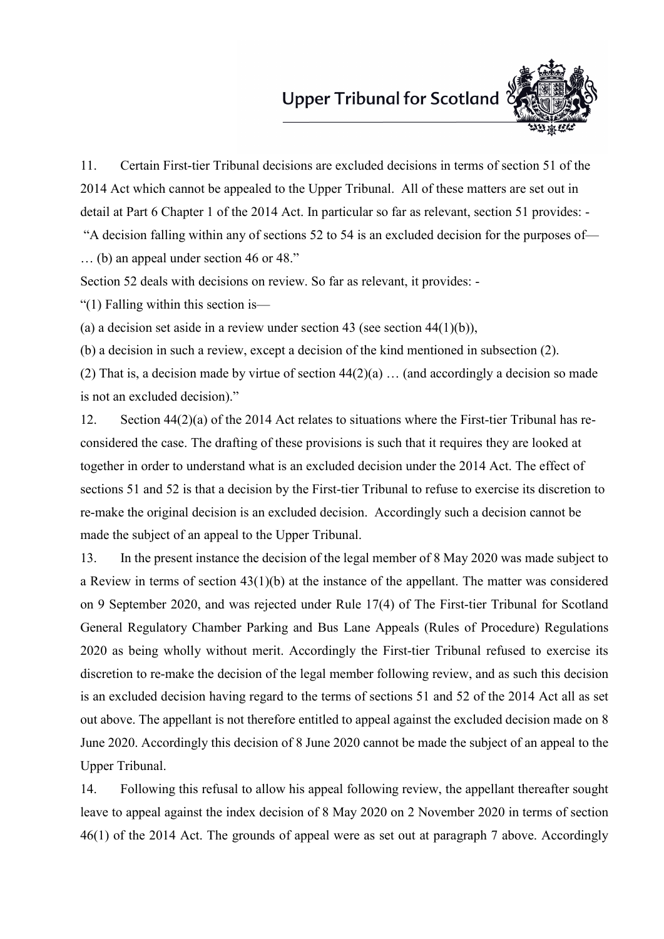### Upper Tribunal for Scotland<sup>?</sup>



11. Certain First-tier Tribunal decisions are excluded decisions in terms of section 51 of the 2014 Act which cannot be appealed to the Upper Tribunal. All of these matters are set out in detail at Part 6 Chapter 1 of the 2014 Act. In particular so far as relevant, section 51 provides: -

"A decision falling within any of sections 52 to 54 is an excluded decision for the purposes of— … (b) an appeal under section 46 or 48."

Section 52 deals with decisions on review. So far as relevant, it provides: -

"(1) Falling within this section is—

(a) a decision set aside in a review under section 43 (see section 44 $(1)(b)$ ),

(b) a decision in such a review, except a decision of the kind mentioned in subsection (2).

(2) That is, a decision made by virtue of section  $44(2)(a)$  ... (and accordingly a decision so made is not an excluded decision)."

12. Section 44(2)(a) of the 2014 Act relates to situations where the First-tier Tribunal has reconsidered the case. The drafting of these provisions is such that it requires they are looked at together in order to understand what is an excluded decision under the 2014 Act. The effect of sections 51 and 52 is that a decision by the First-tier Tribunal to refuse to exercise its discretion to re-make the original decision is an excluded decision. Accordingly such a decision cannot be made the subject of an appeal to the Upper Tribunal.

13. In the present instance the decision of the legal member of 8 May 2020 was made subject to a Review in terms of section 43(1)(b) at the instance of the appellant. The matter was considered on 9 September 2020, and was rejected under Rule 17(4) of The First-tier Tribunal for Scotland General Regulatory Chamber Parking and Bus Lane Appeals (Rules of Procedure) Regulations 2020 as being wholly without merit. Accordingly the First-tier Tribunal refused to exercise its discretion to re-make the decision of the legal member following review, and as such this decision is an excluded decision having regard to the terms of sections 51 and 52 of the 2014 Act all as set out above. The appellant is not therefore entitled to appeal against the excluded decision made on 8 June 2020. Accordingly this decision of 8 June 2020 cannot be made the subject of an appeal to the Upper Tribunal.

14. Following this refusal to allow his appeal following review, the appellant thereafter sought leave to appeal against the index decision of 8 May 2020 on 2 November 2020 in terms of section 46(1) of the 2014 Act. The grounds of appeal were as set out at paragraph 7 above. Accordingly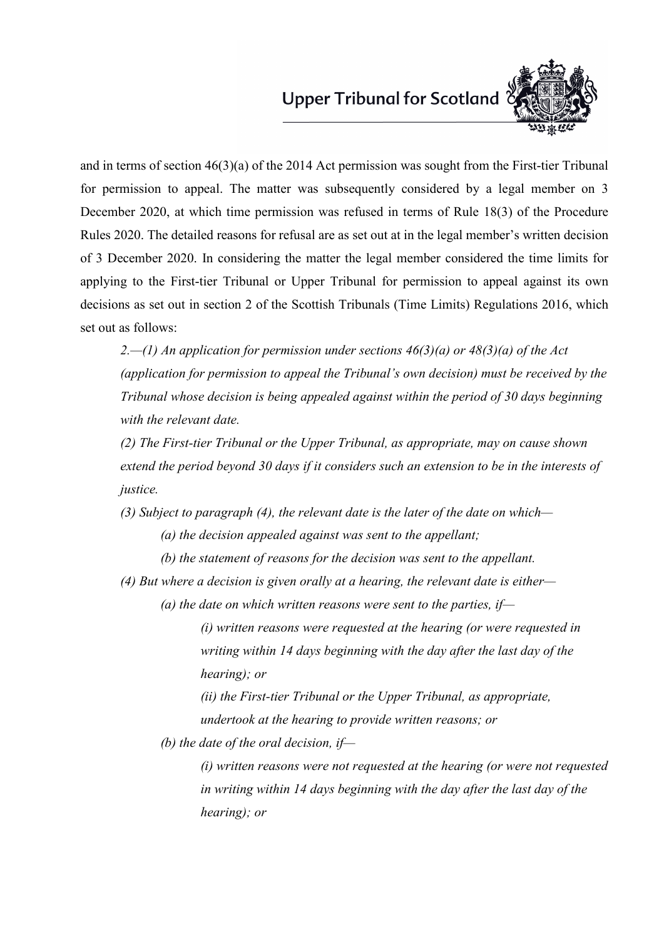

and in terms of section 46(3)(a) of the 2014 Act permission was sought from the First-tier Tribunal for permission to appeal. The matter was subsequently considered by a legal member on 3 December 2020, at which time permission was refused in terms of Rule 18(3) of the Procedure Rules 2020. The detailed reasons for refusal are as set out at in the legal member's written decision of 3 December 2020. In considering the matter the legal member considered the time limits for applying to the First-tier Tribunal or Upper Tribunal for permission to appeal against its own decisions as set out in section 2 of the Scottish Tribunals (Time Limits) Regulations 2016, which set out as follows:

*2.—(1) An application for permission under sections 46(3)(a) or 48(3)(a) of the Act (application for permission to appeal the Tribunal's own decision) must be received by the Tribunal whose decision is being appealed against within the period of 30 days beginning with the relevant date.* 

*(2) The First-tier Tribunal or the Upper Tribunal, as appropriate, may on cause shown extend the period beyond 30 days if it considers such an extension to be in the interests of justice.* 

*(3) Subject to paragraph (4), the relevant date is the later of the date on which—*

- *(a) the decision appealed against was sent to the appellant;*
- *(b) the statement of reasons for the decision was sent to the appellant.*
- *(4) But where a decision is given orally at a hearing, the relevant date is either—*
	- *(a) the date on which written reasons were sent to the parties, if—*

*(i) written reasons were requested at the hearing (or were requested in writing within 14 days beginning with the day after the last day of the hearing); or*

*(ii) the First-tier Tribunal or the Upper Tribunal, as appropriate, undertook at the hearing to provide written reasons; or*

*(b) the date of the oral decision, if—*

*(i) written reasons were not requested at the hearing (or were not requested in writing within 14 days beginning with the day after the last day of the hearing); or*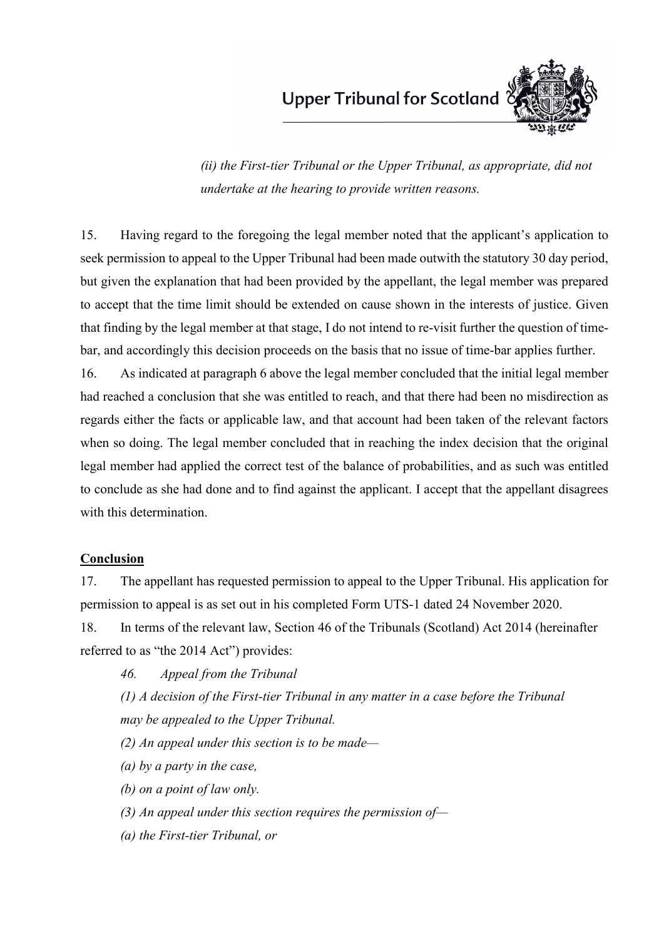

*(ii) the First-tier Tribunal or the Upper Tribunal, as appropriate, did not undertake at the hearing to provide written reasons.*

15. Having regard to the foregoing the legal member noted that the applicant's application to seek permission to appeal to the Upper Tribunal had been made outwith the statutory 30 day period, but given the explanation that had been provided by the appellant, the legal member was prepared to accept that the time limit should be extended on cause shown in the interests of justice. Given that finding by the legal member at that stage, I do not intend to re-visit further the question of timebar, and accordingly this decision proceeds on the basis that no issue of time-bar applies further.

16. As indicated at paragraph 6 above the legal member concluded that the initial legal member had reached a conclusion that she was entitled to reach, and that there had been no misdirection as regards either the facts or applicable law, and that account had been taken of the relevant factors when so doing. The legal member concluded that in reaching the index decision that the original legal member had applied the correct test of the balance of probabilities, and as such was entitled to conclude as she had done and to find against the applicant. I accept that the appellant disagrees with this determination.

#### **Conclusion**

17. The appellant has requested permission to appeal to the Upper Tribunal. His application for permission to appeal is as set out in his completed Form UTS-1 dated 24 November 2020.

18. In terms of the relevant law, Section 46 of the Tribunals (Scotland) Act 2014 (hereinafter referred to as "the 2014 Act") provides:

*46. Appeal from the Tribunal*

*(1) A decision of the First-tier Tribunal in any matter in a case before the Tribunal may be appealed to the Upper Tribunal.*

- *(2) An appeal under this section is to be made—*
- *(a) by a party in the case,*
- *(b) on a point of law only.*
- *(3) An appeal under this section requires the permission of—*
- *(a) the First-tier Tribunal, or*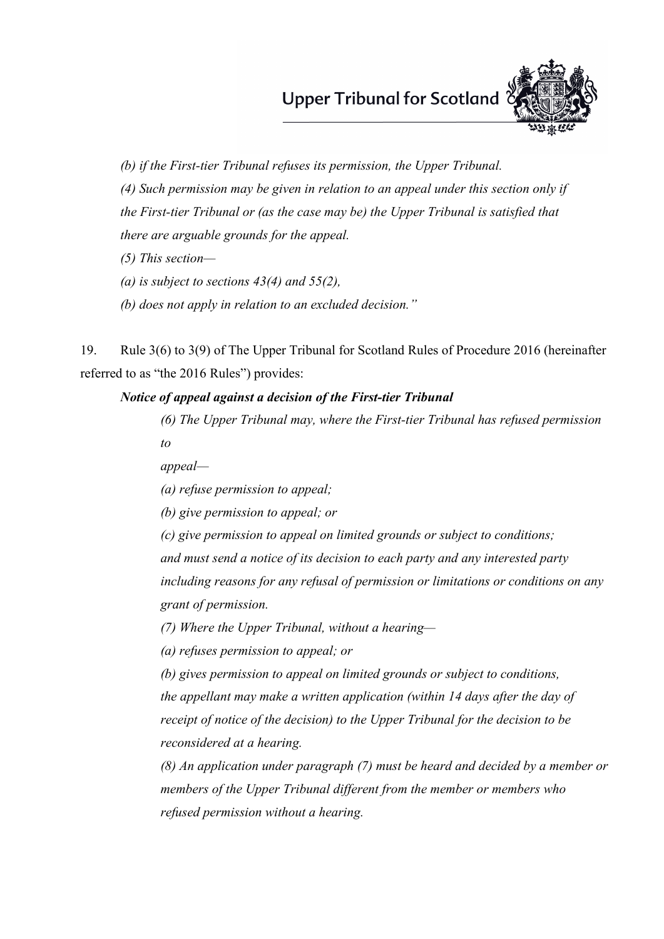

*(b) if the First-tier Tribunal refuses its permission, the Upper Tribunal.*

*(4) Such permission may be given in relation to an appeal under this section only if*

*the First-tier Tribunal or (as the case may be) the Upper Tribunal is satisfied that*

*there are arguable grounds for the appeal.*

*(5) This section—*

*(a) is subject to sections 43(4) and 55(2),*

*(b) does not apply in relation to an excluded decision."*

19. Rule 3(6) to 3(9) of The Upper Tribunal for Scotland Rules of Procedure 2016 (hereinafter referred to as "the 2016 Rules") provides:

#### *Notice of appeal against a decision of the First-tier Tribunal*

*(6) The Upper Tribunal may, where the First-tier Tribunal has refused permission to*

*appeal—*

*(a) refuse permission to appeal;*

*(b) give permission to appeal; or*

*(c) give permission to appeal on limited grounds or subject to conditions;*

*and must send a notice of its decision to each party and any interested party*

*including reasons for any refusal of permission or limitations or conditions on any grant of permission.*

*(7) Where the Upper Tribunal, without a hearing—*

*(a) refuses permission to appeal; or*

*(b) gives permission to appeal on limited grounds or subject to conditions, the appellant may make a written application (within 14 days after the day of receipt of notice of the decision) to the Upper Tribunal for the decision to be reconsidered at a hearing.*

*(8) An application under paragraph (7) must be heard and decided by a member or members of the Upper Tribunal different from the member or members who refused permission without a hearing.*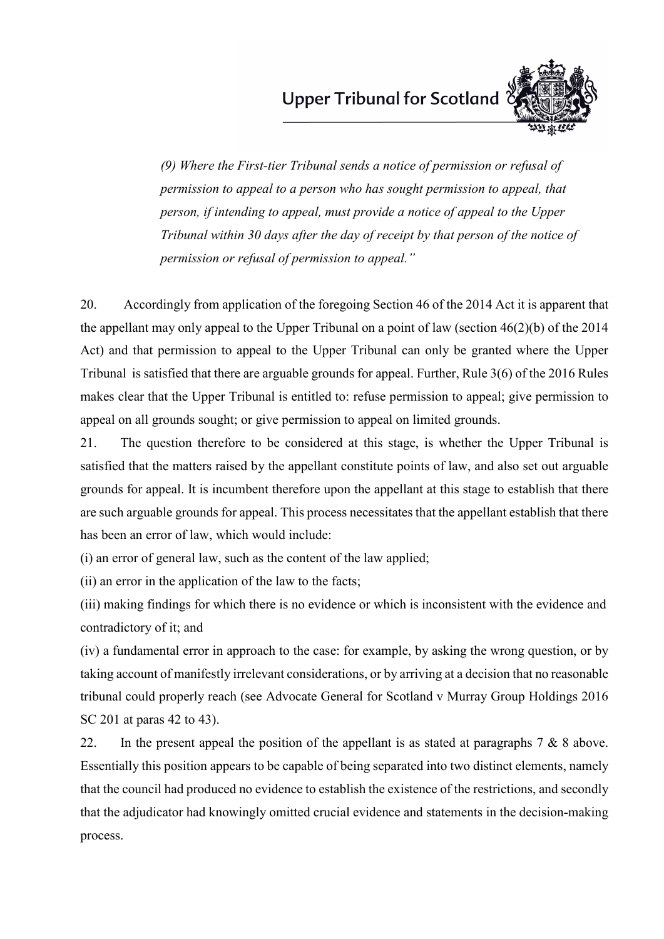

*(9) Where the First-tier Tribunal sends a notice of permission or refusal of permission to appeal to a person who has sought permission to appeal, that person, if intending to appeal, must provide a notice of appeal to the Upper Tribunal within 30 days after the day of receipt by that person of the notice of permission or refusal of permission to appeal."*

20. Accordingly from application of the foregoing Section 46 of the 2014 Act it is apparent that the appellant may only appeal to the Upper Tribunal on a point of law (section 46(2)(b) of the 2014 Act) and that permission to appeal to the Upper Tribunal can only be granted where the Upper Tribunal is satisfied that there are arguable grounds for appeal. Further, Rule 3(6) of the 2016 Rules makes clear that the Upper Tribunal is entitled to: refuse permission to appeal; give permission to appeal on all grounds sought; or give permission to appeal on limited grounds.

21. The question therefore to be considered at this stage, is whether the Upper Tribunal is satisfied that the matters raised by the appellant constitute points of law, and also set out arguable grounds for appeal. It is incumbent therefore upon the appellant at this stage to establish that there are such arguable grounds for appeal. This process necessitates that the appellant establish that there has been an error of law, which would include:

(i) an error of general law, such as the content of the law applied;

(ii) an error in the application of the law to the facts;

(iii) making findings for which there is no evidence or which is inconsistent with the evidence and contradictory of it; and

(iv) a fundamental error in approach to the case: for example, by asking the wrong question, or by taking account of manifestly irrelevant considerations, or by arriving at a decision that no reasonable tribunal could properly reach (see Advocate General for Scotland v Murray Group Holdings 2016 SC 201 at paras 42 to 43).

22. In the present appeal the position of the appellant is as stated at paragraphs  $7 & 8 & 8$  above. Essentially this position appears to be capable of being separated into two distinct elements, namely that the council had produced no evidence to establish the existence of the restrictions, and secondly that the adjudicator had knowingly omitted crucial evidence and statements in the decision-making process.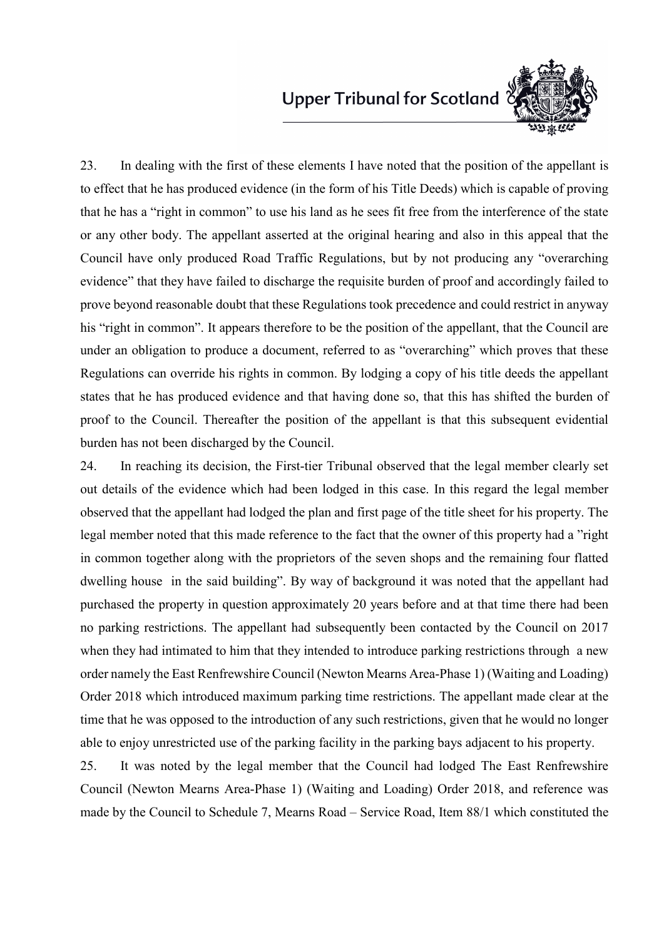

23. In dealing with the first of these elements I have noted that the position of the appellant is to effect that he has produced evidence (in the form of his Title Deeds) which is capable of proving that he has a "right in common" to use his land as he sees fit free from the interference of the state or any other body. The appellant asserted at the original hearing and also in this appeal that the Council have only produced Road Traffic Regulations, but by not producing any "overarching evidence" that they have failed to discharge the requisite burden of proof and accordingly failed to prove beyond reasonable doubt that these Regulations took precedence and could restrict in anyway his "right in common". It appears therefore to be the position of the appellant, that the Council are under an obligation to produce a document, referred to as "overarching" which proves that these Regulations can override his rights in common. By lodging a copy of his title deeds the appellant states that he has produced evidence and that having done so, that this has shifted the burden of proof to the Council. Thereafter the position of the appellant is that this subsequent evidential burden has not been discharged by the Council.

24. In reaching its decision, the First-tier Tribunal observed that the legal member clearly set out details of the evidence which had been lodged in this case. In this regard the legal member observed that the appellant had lodged the plan and first page of the title sheet for his property. The legal member noted that this made reference to the fact that the owner of this property had a "right in common together along with the proprietors of the seven shops and the remaining four flatted dwelling house in the said building". By way of background it was noted that the appellant had purchased the property in question approximately 20 years before and at that time there had been no parking restrictions. The appellant had subsequently been contacted by the Council on 2017 when they had intimated to him that they intended to introduce parking restrictions through a new order namely the East Renfrewshire Council (Newton Mearns Area-Phase 1) (Waiting and Loading) Order 2018 which introduced maximum parking time restrictions. The appellant made clear at the time that he was opposed to the introduction of any such restrictions, given that he would no longer able to enjoy unrestricted use of the parking facility in the parking bays adjacent to his property.

25. It was noted by the legal member that the Council had lodged The East Renfrewshire Council (Newton Mearns Area-Phase 1) (Waiting and Loading) Order 2018, and reference was made by the Council to Schedule 7, Mearns Road – Service Road, Item 88/1 which constituted the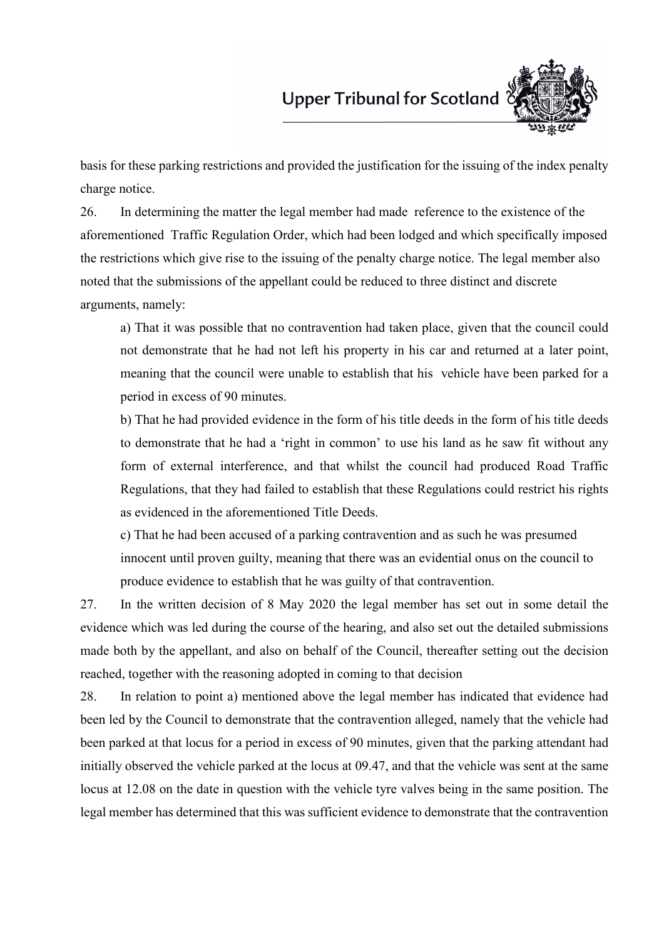

basis for these parking restrictions and provided the justification for the issuing of the index penalty charge notice.

26. In determining the matter the legal member had made reference to the existence of the aforementioned Traffic Regulation Order, which had been lodged and which specifically imposed the restrictions which give rise to the issuing of the penalty charge notice. The legal member also noted that the submissions of the appellant could be reduced to three distinct and discrete arguments, namely:

a) That it was possible that no contravention had taken place, given that the council could not demonstrate that he had not left his property in his car and returned at a later point, meaning that the council were unable to establish that his vehicle have been parked for a period in excess of 90 minutes.

b) That he had provided evidence in the form of his title deeds in the form of his title deeds to demonstrate that he had a 'right in common' to use his land as he saw fit without any form of external interference, and that whilst the council had produced Road Traffic Regulations, that they had failed to establish that these Regulations could restrict his rights as evidenced in the aforementioned Title Deeds.

c) That he had been accused of a parking contravention and as such he was presumed innocent until proven guilty, meaning that there was an evidential onus on the council to produce evidence to establish that he was guilty of that contravention.

27. In the written decision of 8 May 2020 the legal member has set out in some detail the evidence which was led during the course of the hearing, and also set out the detailed submissions made both by the appellant, and also on behalf of the Council, thereafter setting out the decision reached, together with the reasoning adopted in coming to that decision

28. In relation to point a) mentioned above the legal member has indicated that evidence had been led by the Council to demonstrate that the contravention alleged, namely that the vehicle had been parked at that locus for a period in excess of 90 minutes, given that the parking attendant had initially observed the vehicle parked at the locus at 09.47, and that the vehicle was sent at the same locus at 12.08 on the date in question with the vehicle tyre valves being in the same position. The legal member has determined that this was sufficient evidence to demonstrate that the contravention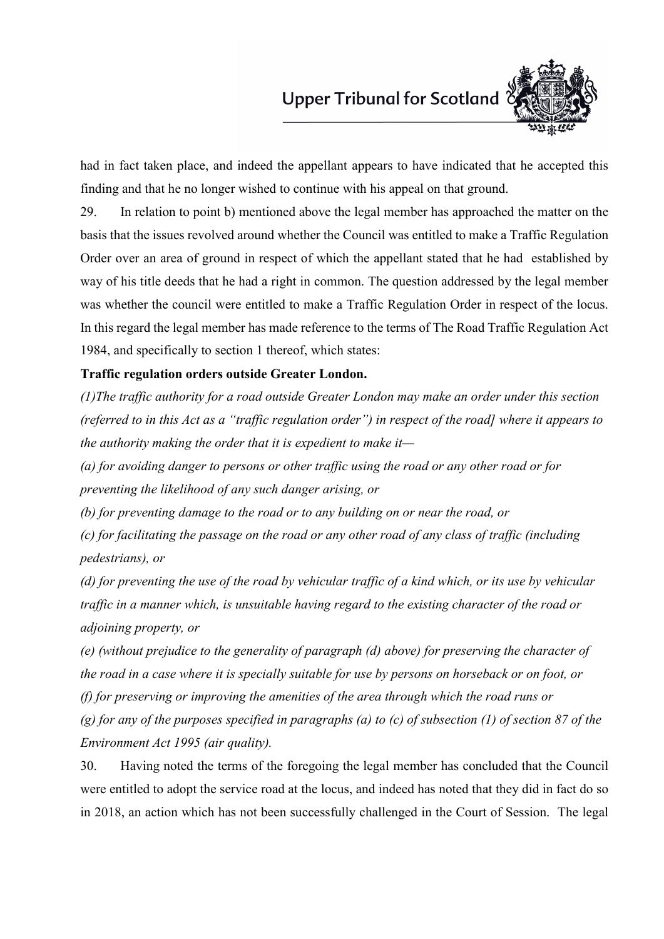

had in fact taken place, and indeed the appellant appears to have indicated that he accepted this finding and that he no longer wished to continue with his appeal on that ground.

29. In relation to point b) mentioned above the legal member has approached the matter on the basis that the issues revolved around whether the Council was entitled to make a Traffic Regulation Order over an area of ground in respect of which the appellant stated that he had established by way of his title deeds that he had a right in common. The question addressed by the legal member was whether the council were entitled to make a Traffic Regulation Order in respect of the locus. In this regard the legal member has made reference to the terms of The Road Traffic Regulation Act 1984, and specifically to section 1 thereof, which states:

#### **Traffic regulation orders outside Greater London.**

*(1)The traffic authority for a road outside Greater London may make an order under this section (referred to in this Act as a "traffic regulation order") in respect of the road] where it appears to the authority making the order that it is expedient to make it—*

*(a) for avoiding danger to persons or other traffic using the road or any other road or for preventing the likelihood of any such danger arising, or*

*(b) for preventing damage to the road or to any building on or near the road, or*

*(c) for facilitating the passage on the road or any other road of any class of traffic (including pedestrians), or*

*(d) for preventing the use of the road by vehicular traffic of a kind which, or its use by vehicular traffic in a manner which, is unsuitable having regard to the existing character of the road or adjoining property, or*

*(e) (without prejudice to the generality of paragraph (d) above) for preserving the character of the road in a case where it is specially suitable for use by persons on horseback or on foot, or (f) for preserving or improving the amenities of the area through which the road runs or (g) for any of the purposes specified in paragraphs (a) to (c) of subsection (1) of section 87 of the Environment Act 1995 (air quality).*

30. Having noted the terms of the foregoing the legal member has concluded that the Council were entitled to adopt the service road at the locus, and indeed has noted that they did in fact do so in 2018, an action which has not been successfully challenged in the Court of Session. The legal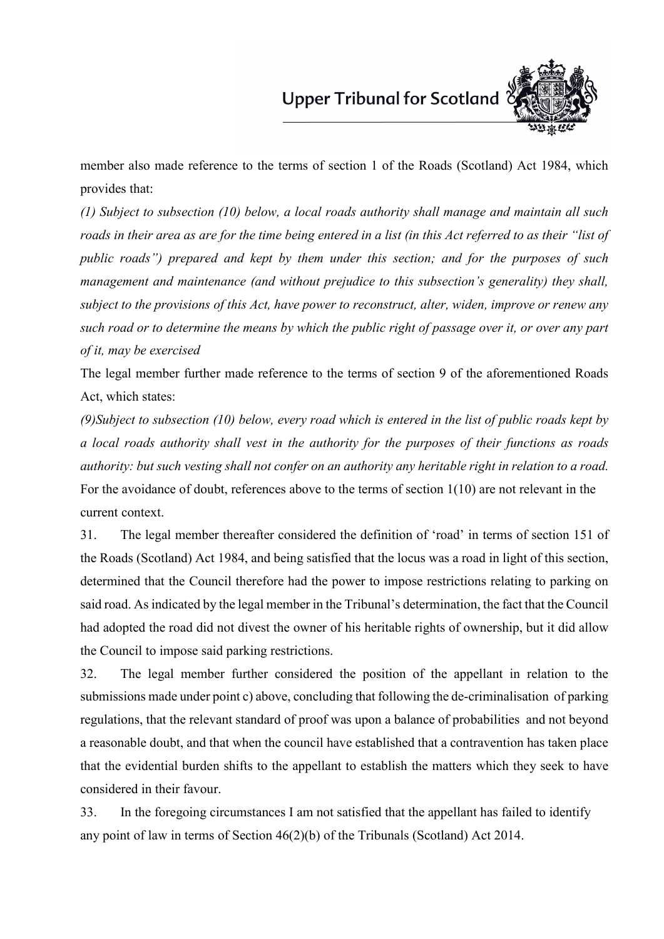

member also made reference to the terms of section 1 of the Roads (Scotland) Act 1984, which provides that:

*(1) Subject to subsection (10) below, a local roads authority shall manage and maintain all such roads in their area as are for the time being entered in a list (in this Act referred to as their "list of public roads") prepared and kept by them under this section; and for the purposes of such management and maintenance (and without prejudice to this subsection's generality) they shall, subject to the provisions of this Act, have power to reconstruct, alter, widen, improve or renew any such road or to determine the means by which the public right of passage over it, or over any part of it, may be exercised*

The legal member further made reference to the terms of section 9 of the aforementioned Roads Act, which states:

*(9)Subject to subsection (10) below, every road which is entered in the list of public roads kept by a local roads authority shall vest in the authority for the purposes of their functions as roads authority: but such vesting shall not confer on an authority any heritable right in relation to a road.* For the avoidance of doubt, references above to the terms of section 1(10) are not relevant in the current context.

31. The legal member thereafter considered the definition of 'road' in terms of section 151 of the Roads (Scotland) Act 1984, and being satisfied that the locus was a road in light of this section, determined that the Council therefore had the power to impose restrictions relating to parking on said road. As indicated by the legal member in the Tribunal's determination, the fact that the Council had adopted the road did not divest the owner of his heritable rights of ownership, but it did allow the Council to impose said parking restrictions.

32. The legal member further considered the position of the appellant in relation to the submissions made under point c) above, concluding that following the de-criminalisation of parking regulations, that the relevant standard of proof was upon a balance of probabilities and not beyond a reasonable doubt, and that when the council have established that a contravention has taken place that the evidential burden shifts to the appellant to establish the matters which they seek to have considered in their favour.

33. In the foregoing circumstances I am not satisfied that the appellant has failed to identify any point of law in terms of Section 46(2)(b) of the Tribunals (Scotland) Act 2014.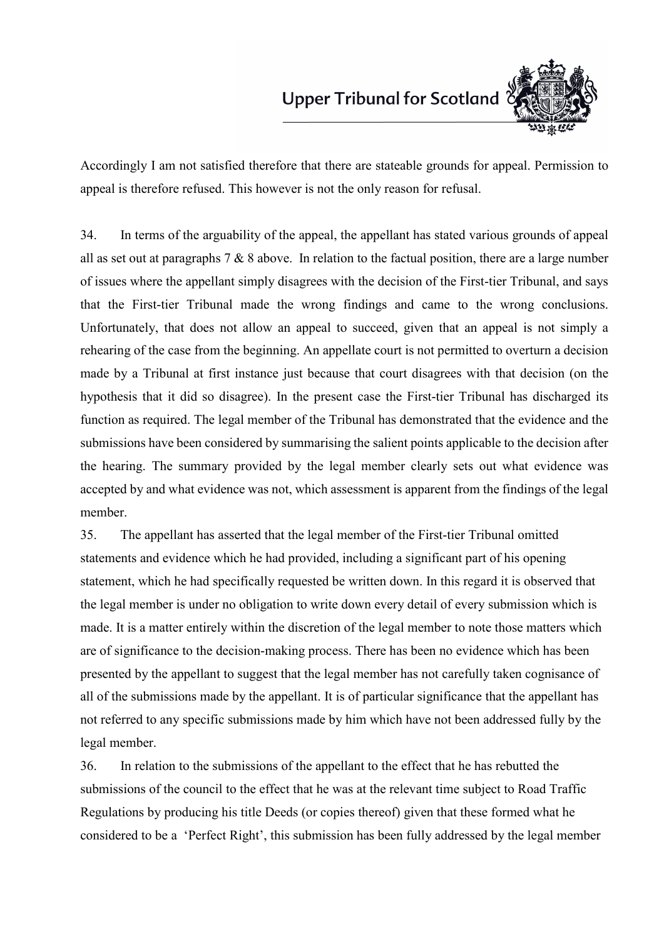

Accordingly I am not satisfied therefore that there are stateable grounds for appeal. Permission to appeal is therefore refused. This however is not the only reason for refusal.

34. In terms of the arguability of the appeal, the appellant has stated various grounds of appeal all as set out at paragraphs 7 & 8 above. In relation to the factual position, there are a large number of issues where the appellant simply disagrees with the decision of the First-tier Tribunal, and says that the First-tier Tribunal made the wrong findings and came to the wrong conclusions. Unfortunately, that does not allow an appeal to succeed, given that an appeal is not simply a rehearing of the case from the beginning. An appellate court is not permitted to overturn a decision made by a Tribunal at first instance just because that court disagrees with that decision (on the hypothesis that it did so disagree). In the present case the First-tier Tribunal has discharged its function as required. The legal member of the Tribunal has demonstrated that the evidence and the submissions have been considered by summarising the salient points applicable to the decision after the hearing. The summary provided by the legal member clearly sets out what evidence was accepted by and what evidence was not, which assessment is apparent from the findings of the legal member.

35. The appellant has asserted that the legal member of the First-tier Tribunal omitted statements and evidence which he had provided, including a significant part of his opening statement, which he had specifically requested be written down. In this regard it is observed that the legal member is under no obligation to write down every detail of every submission which is made. It is a matter entirely within the discretion of the legal member to note those matters which are of significance to the decision-making process. There has been no evidence which has been presented by the appellant to suggest that the legal member has not carefully taken cognisance of all of the submissions made by the appellant. It is of particular significance that the appellant has not referred to any specific submissions made by him which have not been addressed fully by the legal member.

36. In relation to the submissions of the appellant to the effect that he has rebutted the submissions of the council to the effect that he was at the relevant time subject to Road Traffic Regulations by producing his title Deeds (or copies thereof) given that these formed what he considered to be a 'Perfect Right', this submission has been fully addressed by the legal member